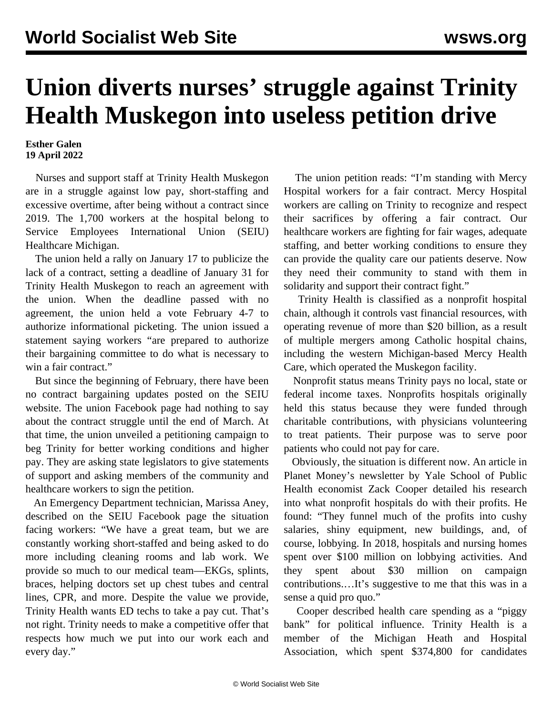## **Union diverts nurses' struggle against Trinity Health Muskegon into useless petition drive**

## **Esther Galen 19 April 2022**

 Nurses and support staff at Trinity Health Muskegon are in a struggle against low pay, short-staffing and excessive overtime, after being without a contract since 2019. The 1,700 workers at the hospital belong to Service Employees International Union (SEIU) Healthcare Michigan.

 The union held a rally on January 17 to publicize the lack of a contract, setting a deadline of January 31 for Trinity Health Muskegon to reach an agreement with the union. When the deadline passed with no agreement, the union held a vote February 4-7 to authorize informational picketing. The union issued a statement saying workers "are prepared to authorize their bargaining committee to do what is necessary to win a fair contract."

 But since the beginning of February, there have been no contract bargaining updates posted on the SEIU website. The union Facebook page had nothing to say about the contract struggle until the end of March. At that time, the union unveiled a petitioning campaign to beg Trinity for better working conditions and higher pay. They are asking state legislators to give statements of support and asking members of the community and healthcare workers to sign the petition.

 An Emergency Department technician, Marissa Aney, described on the SEIU Facebook page the situation facing workers: "We have a great team, but we are constantly working short-staffed and being asked to do more including cleaning rooms and lab work. We provide so much to our medical team—EKGs, splints, braces, helping doctors set up chest tubes and central lines, CPR, and more. Despite the value we provide, Trinity Health wants ED techs to take a pay cut. That's not right. Trinity needs to make a competitive offer that respects how much we put into our work each and every day."

 The union petition reads: "I'm standing with Mercy Hospital workers for a fair contract. Mercy Hospital workers are calling on Trinity to recognize and respect their sacrifices by offering a fair contract. Our healthcare workers are fighting for fair wages, adequate staffing, and better working conditions to ensure they can provide the quality care our patients deserve. Now they need their community to stand with them in solidarity and support their contract fight."

 Trinity Health is classified as a nonprofit hospital chain, although it controls vast financial resources, with operating revenue of more than \$20 billion, as a result of multiple mergers among Catholic hospital chains, including the western Michigan-based Mercy Health Care, which operated the Muskegon facility.

 Nonprofit status means Trinity pays no local, state or federal income taxes. Nonprofits hospitals originally held this status because they were funded through charitable contributions, with physicians volunteering to treat patients. Their purpose was to serve poor patients who could not pay for care.

 Obviously, the situation is different now. An article in Planet Money's newsletter by Yale School of Public Health economist Zack Cooper detailed his research into what nonprofit hospitals do with their profits. He found: "They funnel much of the profits into cushy salaries, shiny equipment, new buildings, and, of course, lobbying. In 2018, hospitals and nursing homes spent over \$100 million on lobbying activities. And they spent about \$30 million on campaign contributions.…It's suggestive to me that this was in a sense a quid pro quo."

 Cooper described health care spending as a "piggy bank" for political influence. Trinity Health is a member of the Michigan Heath and Hospital Association, which spent \$374,800 for candidates